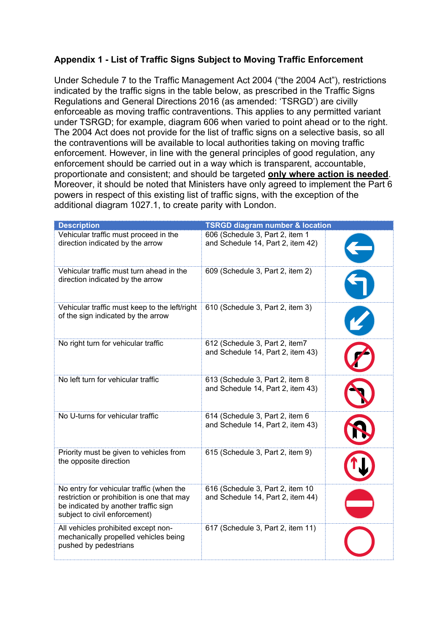## **Appendix 1 - List of Traffic Signs Subject to Moving Traffic Enforcement**

Under Schedule 7 to the Traffic Management Act 2004 ("the 2004 Act"), restrictions indicated by the traffic signs in the table below, as prescribed in the Traffic Signs Regulations and General Directions 2016 (as amended: 'TSRGD') are civilly enforceable as moving traffic contraventions. This applies to any permitted variant under TSRGD; for example, diagram 606 when varied to point ahead or to the right. The 2004 Act does not provide for the list of traffic signs on a selective basis, so all the contraventions will be available to local authorities taking on moving traffic enforcement. However, in line with the general principles of good regulation, any enforcement should be carried out in a way which is transparent, accountable, proportionate and consistent; and should be targeted **only where action is needed**. Moreover, it should be noted that Ministers have only agreed to implement the Part 6 powers in respect of this existing list of traffic signs, with the exception of the additional diagram 1027.1, to create parity with London.

| <b>Description</b>                                                                                                                                              | <b>TSRGD diagram number &amp; location</b>                            |  |
|-----------------------------------------------------------------------------------------------------------------------------------------------------------------|-----------------------------------------------------------------------|--|
| Vehicular traffic must proceed in the<br>direction indicated by the arrow                                                                                       | 606 (Schedule 3, Part 2, item 1<br>and Schedule 14, Part 2, item 42)  |  |
| Vehicular traffic must turn ahead in the<br>direction indicated by the arrow                                                                                    | 609 (Schedule 3, Part 2, item 2)                                      |  |
| Vehicular traffic must keep to the left/right<br>of the sign indicated by the arrow                                                                             | 610 (Schedule 3, Part 2, item 3)                                      |  |
| No right turn for vehicular traffic                                                                                                                             | 612 (Schedule 3, Part 2, item7<br>and Schedule 14, Part 2, item 43)   |  |
| No left turn for vehicular traffic                                                                                                                              | 613 (Schedule 3, Part 2, item 8<br>and Schedule 14, Part 2, item 43)  |  |
| No U-turns for vehicular traffic                                                                                                                                | 614 (Schedule 3, Part 2, item 6<br>and Schedule 14, Part 2, item 43)  |  |
| Priority must be given to vehicles from<br>the opposite direction                                                                                               | 615 (Schedule 3, Part 2, item 9)                                      |  |
| No entry for vehicular traffic (when the<br>restriction or prohibition is one that may<br>be indicated by another traffic sign<br>subject to civil enforcement) | 616 (Schedule 3, Part 2, item 10<br>and Schedule 14, Part 2, item 44) |  |
| All vehicles prohibited except non-<br>mechanically propelled vehicles being<br>pushed by pedestrians                                                           | 617 (Schedule 3, Part 2, item 11)                                     |  |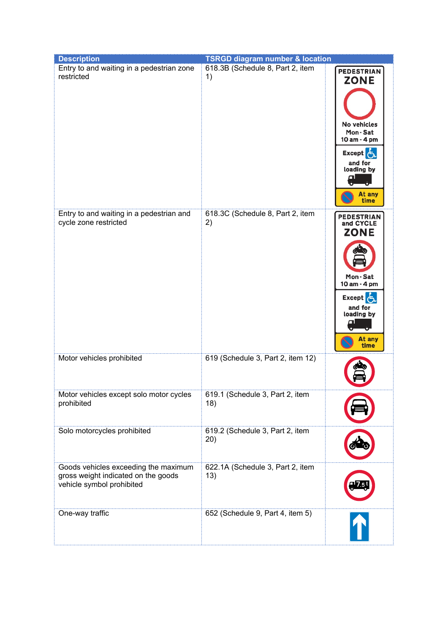| <b>Description</b>                                                                                       | <b>TSRGD diagram number &amp; location</b> |                                                                                                                                             |
|----------------------------------------------------------------------------------------------------------|--------------------------------------------|---------------------------------------------------------------------------------------------------------------------------------------------|
| Entry to and waiting in a pedestrian zone<br>restricted                                                  | 618.3B (Schedule 8, Part 2, item<br>1)     | <b>PEDESTRIAN</b><br><b>ZONE</b><br>No vehicles<br>Mon-Sat<br>10 am - 4 pm<br><b>Except</b><br>and for<br>loading by<br>ω<br>At any<br>time |
| Entry to and waiting in a pedestrian and<br>cycle zone restricted                                        | 618.3C (Schedule 8, Part 2, item<br>2)     | <b>PEDESTRIAN</b><br>and CYCLE<br><b>ZONE</b><br>Mon-Sat<br>10 am - 4 pm<br><b>Except</b><br>and for<br>loading by<br>α<br>At any<br>time   |
| Motor vehicles prohibited                                                                                | 619 (Schedule 3, Part 2, item 12)          |                                                                                                                                             |
| Motor vehicles except solo motor cycles<br>prohibited                                                    | 619.1 (Schedule 3, Part 2, item<br>18)     |                                                                                                                                             |
| Solo motorcycles prohibited                                                                              | 619.2 (Schedule 3, Part 2, item<br>20)     |                                                                                                                                             |
| Goods vehicles exceeding the maximum<br>gross weight indicated on the goods<br>vehicle symbol prohibited | 622.1A (Schedule 3, Part 2, item<br>13)    |                                                                                                                                             |
| One-way traffic                                                                                          | 652 (Schedule 9, Part 4, item 5)           |                                                                                                                                             |